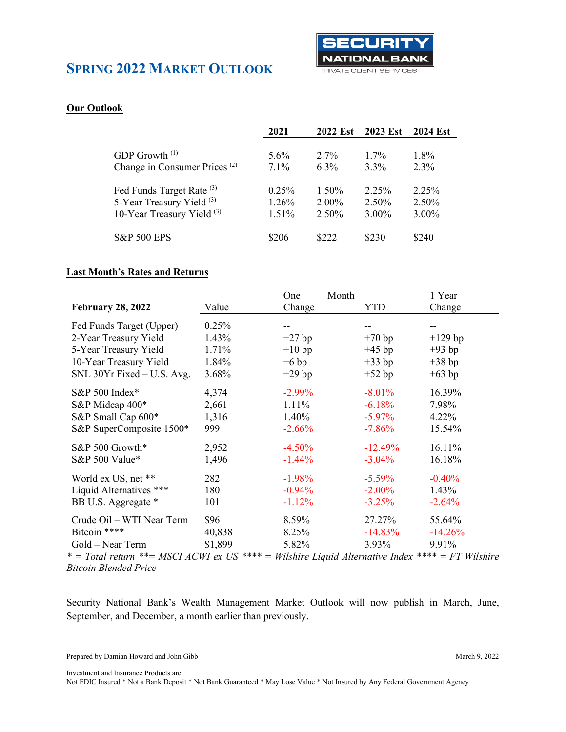

#### **Our Outlook**

|                                          | 2021     | <b>2022 Est</b> | 2023 Est | <b>2024 Est</b> |
|------------------------------------------|----------|-----------------|----------|-----------------|
|                                          |          |                 |          |                 |
| GDP Growth $(1)$                         | $5.6\%$  | $2.7\%$         | $1.7\%$  | $1.8\%$         |
| Change in Consumer Prices <sup>(2)</sup> | $7.1\%$  | $6.3\%$         | $3.3\%$  | $2.3\%$         |
|                                          |          |                 |          |                 |
| Fed Funds Target Rate <sup>(3)</sup>     | $0.25\%$ | 1.50%           | 2.25%    | 2.25%           |
| 5-Year Treasury Yield <sup>(3)</sup>     | 1.26%    | $2.00\%$        | $2.50\%$ | 2.50%           |
| 10-Year Treasury Yield <sup>(3)</sup>    | 1.51%    | 2.50%           | 3.00%    | $3.00\%$        |
|                                          |          |                 |          |                 |
| <b>S&amp;P 500 EPS</b>                   | \$206    | \$222           | \$230    | \$240           |
|                                          |          |                 |          |                 |

#### **Last Month's Rates and Returns**

|                                                                                                                      |         | One       | Month |            | 1 Year    |
|----------------------------------------------------------------------------------------------------------------------|---------|-----------|-------|------------|-----------|
| <b>February 28, 2022</b>                                                                                             | Value   | Change    |       | <b>YTD</b> | Change    |
| Fed Funds Target (Upper)                                                                                             | 0.25%   | --        |       |            |           |
| 2-Year Treasury Yield                                                                                                | 1.43%   | $+27$ bp  |       | $+70$ bp   | $+129$ bp |
| 5-Year Treasury Yield                                                                                                | 1.71%   | $+10$ bp  |       | $+45$ bp   | $+93$ bp  |
| 10-Year Treasury Yield                                                                                               | 1.84%   | $+6$ bp   |       | $+33$ bp   | $+38$ bp  |
| SNL 30Yr Fixed – U.S. Avg.                                                                                           | 3.68%   | $+29$ bp  |       | $+52$ bp   | $+63$ bp  |
| S&P 500 Index*                                                                                                       | 4,374   | $-2.99\%$ |       | $-8.01%$   | 16.39%    |
| S&P Midcap 400*                                                                                                      | 2,661   | $1.11\%$  |       | $-6.18%$   | 7.98%     |
| S&P Small Cap 600*                                                                                                   | 1,316   | $1.40\%$  |       | $-5.97\%$  | $4.22\%$  |
| S&P SuperComposite 1500*                                                                                             | 999     | $-2.66%$  |       | $-7.86%$   | 15.54%    |
| S&P 500 Growth*                                                                                                      | 2,952   | $-4.50%$  |       | $-12.49%$  | 16.11%    |
| S&P 500 Value*                                                                                                       | 1,496   | $-1.44%$  |       | $-3.04\%$  | 16.18%    |
| World ex US, net **                                                                                                  | 282     | $-1.98%$  |       | $-5.59\%$  | $-0.40%$  |
| Liquid Alternatives ***                                                                                              | 180     | $-0.94%$  |       | $-2.00\%$  | 1.43%     |
| BB U.S. Aggregate *                                                                                                  | 101     | $-1.12%$  |       | $-3.25%$   | $-2.64%$  |
| Crude Oil – WTI Near Term                                                                                            | \$96    | 8.59%     |       | 27.27%     | 55.64%    |
| Bitcoin ****                                                                                                         | 40,838  | 8.25%     |       | $-14.83\%$ | $-14.26%$ |
| Gold – Near Term                                                                                                     | \$1,899 | 5.82%     |       | 3.93%      | 9.91%     |
| $* = Total$ return $** = MSTI$ $ACWI$ or $I/S$ $*** = Wilshire$ $Iianid$ $Alternative$ $Indor$ $*** = FT$ $Wilshire$ |         |           |       |            |           |

*\* = Total return \*\*= MSCI ACWI ex US \*\*\*\* = Wilshire Liquid Alternative Index \*\*\*\* = FT Wilshire Bitcoin Blended Price*

Security National Bank's Wealth Management Market Outlook will now publish in March, June, September, and December, a month earlier than previously.

Prepared by Damian Howard and John Gibb March 9, 2022

Investment and Insurance Products are: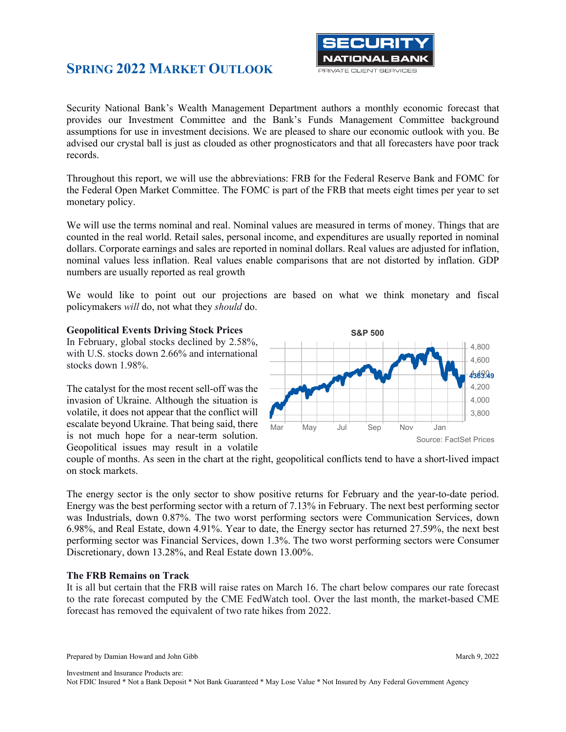

Security National Bank's Wealth Management Department authors a monthly economic forecast that provides our Investment Committee and the Bank's Funds Management Committee background assumptions for use in investment decisions. We are pleased to share our economic outlook with you. Be advised our crystal ball is just as clouded as other prognosticators and that all forecasters have poor track records.

Throughout this report, we will use the abbreviations: FRB for the Federal Reserve Bank and FOMC for the Federal Open Market Committee. The FOMC is part of the FRB that meets eight times per year to set monetary policy.

We will use the terms nominal and real. Nominal values are measured in terms of money. Things that are counted in the real world. Retail sales, personal income, and expenditures are usually reported in nominal dollars. Corporate earnings and sales are reported in nominal dollars. Real values are adjusted for inflation, nominal values less inflation. Real values enable comparisons that are not distorted by inflation. GDP numbers are usually reported as real growth

We would like to point out our projections are based on what we think monetary and fiscal policymakers *will* do, not what they *should* do.

#### **Geopolitical Events Driving Stock Prices**

In February, global stocks declined by 2.58%, with U.S. stocks down 2.66% and international stocks down 1.98%.

The catalyst for the most recent sell-off was the invasion of Ukraine. Although the situation is volatile, it does not appear that the conflict will escalate beyond Ukraine. That being said, there is not much hope for a near-term solution. Geopolitical issues may result in a volatile



couple of months. As seen in the chart at the right, geopolitical conflicts tend to have a short-lived impact on stock markets.

The energy sector is the only sector to show positive returns for February and the year-to-date period. Energy was the best performing sector with a return of 7.13% in February. The next best performing sector was Industrials, down 0.87%. The two worst performing sectors were Communication Services, down 6.98%, and Real Estate, down 4.91%. Year to date, the Energy sector has returned 27.59%, the next best performing sector was Financial Services, down 1.3%. The two worst performing sectors were Consumer Discretionary, down 13.28%, and Real Estate down 13.00%.

#### **The FRB Remains on Track**

It is all but certain that the FRB will raise rates on March 16. The chart below compares our rate forecast to the rate forecast computed by the CME FedWatch tool. Over the last month, the market-based CME forecast has removed the equivalent of two rate hikes from 2022.

Prepared by Damian Howard and John Gibb March 9, 2022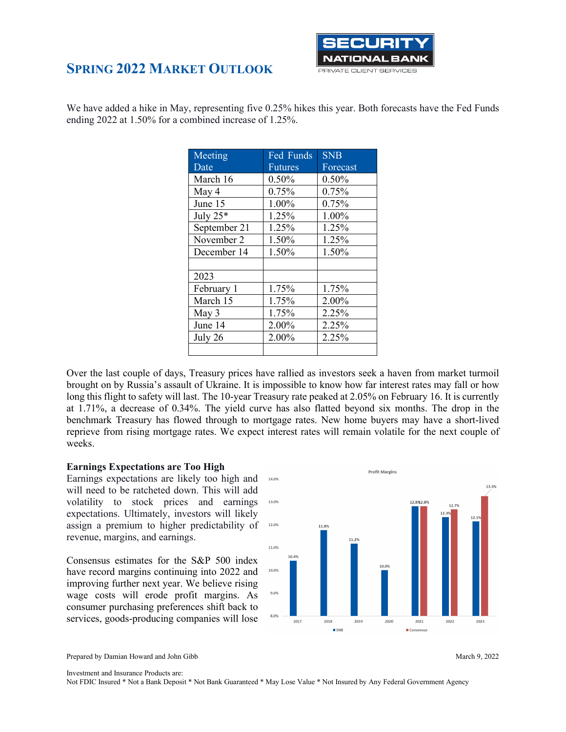

We have added a hike in May, representing five 0.25% hikes this year. Both forecasts have the Fed Funds ending 2022 at 1.50% for a combined increase of 1.25%.

| Meeting      | Fed Funds      | <b>SNB</b> |
|--------------|----------------|------------|
| Date         | <b>Futures</b> | Forecast   |
| March 16     | 0.50%          | 0.50%      |
| May 4        | 0.75%          | 0.75%      |
| June 15      | 1.00%          | 0.75%      |
| July 25*     | 1.25%          | 1.00%      |
| September 21 | 1.25%          | 1.25%      |
| November 2   | 1.50%          | 1.25%      |
| December 14  | 1.50%          | 1.50%      |
|              |                |            |
| 2023         |                |            |
| February 1   | 1.75%          | 1.75%      |
| March 15     | 1.75%          | 2.00%      |
| May 3        | 1.75%          | 2.25%      |
| June 14      | 2.00%          | 2.25%      |
| July 26      | 2.00%          | 2.25%      |
|              |                |            |

Over the last couple of days, Treasury prices have rallied as investors seek a haven from market turmoil brought on by Russia's assault of Ukraine. It is impossible to know how far interest rates may fall or how long this flight to safety will last. The 10-year Treasury rate peaked at 2.05% on February 16. It is currently at 1.71%, a decrease of 0.34%. The yield curve has also flatted beyond six months. The drop in the benchmark Treasury has flowed through to mortgage rates. New home buyers may have a short-lived reprieve from rising mortgage rates. We expect interest rates will remain volatile for the next couple of weeks.

#### **Earnings Expectations are Too High**

Earnings expectations are likely too high and will need to be ratcheted down. This will add volatility to stock prices and earnings expectations. Ultimately, investors will likely assign a premium to higher predictability of revenue, margins, and earnings.

Consensus estimates for the S&P 500 index have record margins continuing into 2022 and improving further next year. We believe rising wage costs will erode profit margins. As consumer purchasing preferences shift back to services, goods-producing companies will lose



Prepared by Damian Howard and John Gibb March 9, 2022



Investment and Insurance Products are: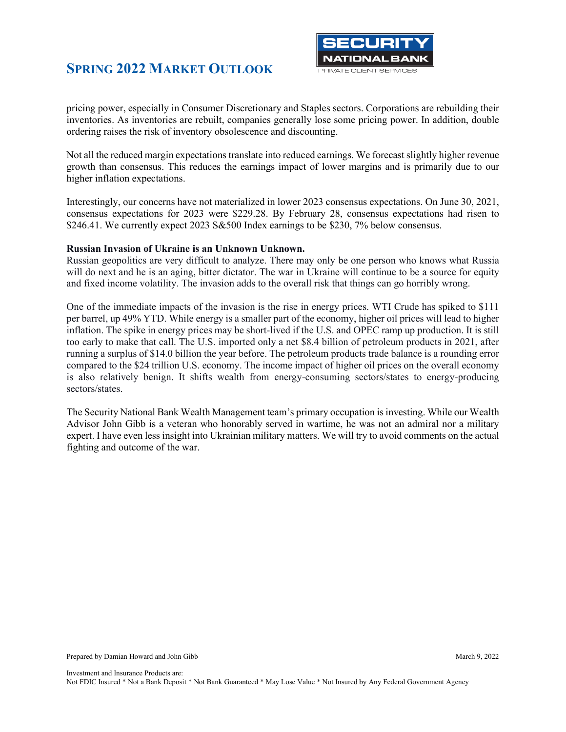

pricing power, especially in Consumer Discretionary and Staples sectors. Corporations are rebuilding their inventories. As inventories are rebuilt, companies generally lose some pricing power. In addition, double ordering raises the risk of inventory obsolescence and discounting.

Not all the reduced margin expectations translate into reduced earnings. We forecast slightly higher revenue growth than consensus. This reduces the earnings impact of lower margins and is primarily due to our higher inflation expectations.

Interestingly, our concerns have not materialized in lower 2023 consensus expectations. On June 30, 2021, consensus expectations for 2023 were \$229.28. By February 28, consensus expectations had risen to \$246.41. We currently expect 2023 S&500 Index earnings to be \$230, 7% below consensus.

#### **Russian Invasion of Ukraine is an Unknown Unknown.**

Russian geopolitics are very difficult to analyze. There may only be one person who knows what Russia will do next and he is an aging, bitter dictator. The war in Ukraine will continue to be a source for equity and fixed income volatility. The invasion adds to the overall risk that things can go horribly wrong.

One of the immediate impacts of the invasion is the rise in energy prices. WTI Crude has spiked to \$111 per barrel, up 49% YTD. While energy is a smaller part of the economy, higher oil prices will lead to higher inflation. The spike in energy prices may be short-lived if the U.S. and OPEC ramp up production. It is still too early to make that call. The U.S. imported only a net \$8.4 billion of petroleum products in 2021, after running a surplus of \$14.0 billion the year before. The petroleum products trade balance is a rounding error compared to the \$24 trillion U.S. economy. The income impact of higher oil prices on the overall economy is also relatively benign. It shifts wealth from energy-consuming sectors/states to energy-producing sectors/states.

The Security National Bank Wealth Management team's primary occupation is investing. While our Wealth Advisor John Gibb is a veteran who honorably served in wartime, he was not an admiral nor a military expert. I have even less insight into Ukrainian military matters. We will try to avoid comments on the actual fighting and outcome of the war.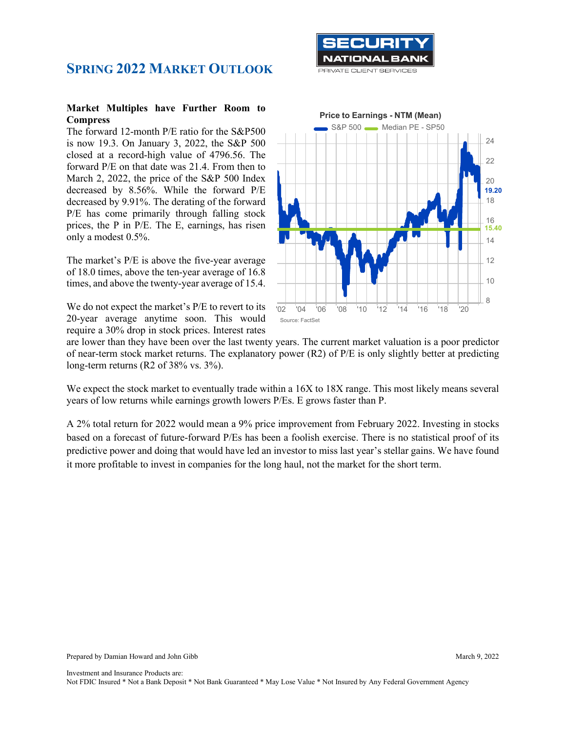

#### **Market Multiples have Further Room to Compress**

The forward 12-month P/E ratio for the S&P500 is now 19.3. On January 3, 2022, the S&P 500 closed at a record-high value of 4796.56. The forward P/E on that date was 21.4. From then to March 2, 2022, the price of the S&P 500 Index decreased by 8.56%. While the forward P/E decreased by 9.91%. The derating of the forward P/E has come primarily through falling stock prices, the P in P/E. The E, earnings, has risen only a modest 0.5%.

The market's P/E is above the five-year average of 18.0 times, above the ten-year average of 16.8 times, and above the twenty-year average of 15.4.

We do not expect the market's P/E to revert to its 20-year average anytime soon. This would require a 30% drop in stock prices. Interest rates



are lower than they have been over the last twenty years. The current market valuation is a poor predictor of near-term stock market returns. The explanatory power (R2) of P/E is only slightly better at predicting long-term returns (R2 of 38% vs. 3%).

We expect the stock market to eventually trade within a  $16X$  to  $18X$  range. This most likely means several years of low returns while earnings growth lowers P/Es. E grows faster than P.

A 2% total return for 2022 would mean a 9% price improvement from February 2022. Investing in stocks based on a forecast of future-forward P/Es has been a foolish exercise. There is no statistical proof of its predictive power and doing that would have led an investor to miss last year's stellar gains. We have found it more profitable to invest in companies for the long haul, not the market for the short term.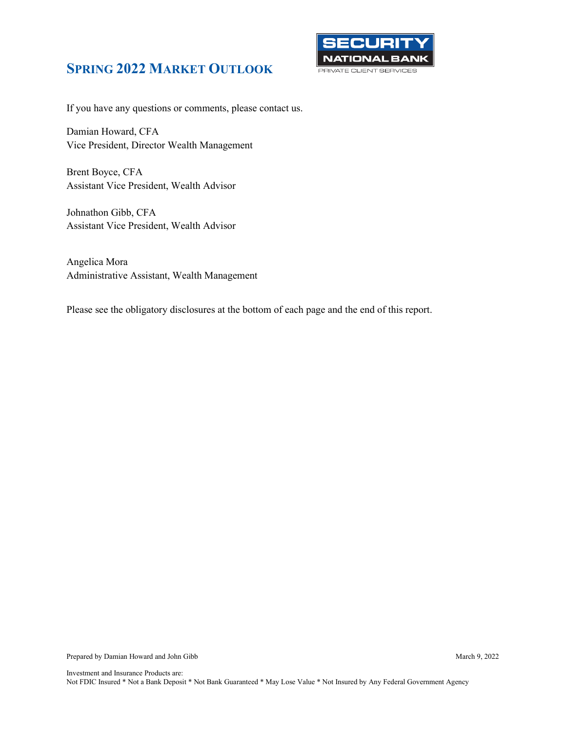

If you have any questions or comments, please contact us.

Damian Howard, CFA Vice President, Director Wealth Management

Brent Boyce, CFA Assistant Vice President, Wealth Advisor

Johnathon Gibb, CFA Assistant Vice President, Wealth Advisor

Angelica Mora Administrative Assistant, Wealth Management

Please see the obligatory disclosures at the bottom of each page and the end of this report.

Prepared by Damian Howard and John Gibb March 9, 2022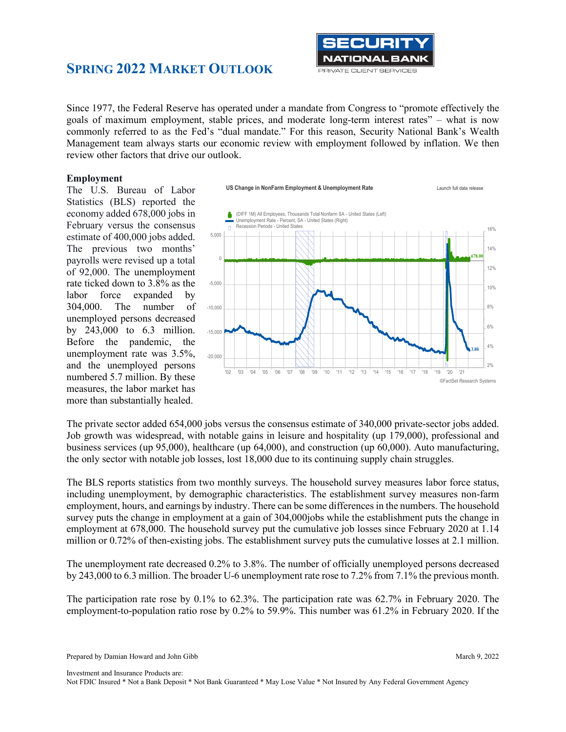

Since 1977, the Federal Reserve has operated under a mandate from Congress to "promote effectively the goals of maximum employment, stable prices, and moderate long-term interest rates" – what is now commonly referred to as the Fed's "dual mandate." For this reason, Security National Bank's Wealth Management team always starts our economic review with employment followed by inflation. We then review other factors that drive our outlook.

#### **Employment**

The U.S. Bureau of Labor Statistics (BLS) reported the economy added 678,000 jobs in February versus the consensus estimate of 400,000 jobs added. The previous two months' payrolls were revised up a total of 92,000. The unemployment rate ticked down to 3.8% as the labor force expanded by 304,000. The number of unemployed persons decreased by 243,000 to 6.3 million. Before the pandemic, the unemployment rate was 3.5%, and the unemployed persons numbered 5.7 million. By these measures, the labor market has more than substantially healed.



The private sector added 654,000 jobs versus the consensus estimate of 340,000 private-sector jobs added. Job growth was widespread, with notable gains in leisure and hospitality (up 179,000), professional and business services (up 95,000), healthcare (up 64,000), and construction (up 60,000). Auto manufacturing, the only sector with notable job losses, lost 18,000 due to its continuing supply chain struggles.

The BLS reports statistics from two monthly surveys. The household survey measures labor force status, including unemployment, by demographic characteristics. The establishment survey measures non-farm employment, hours, and earnings by industry. There can be some differences in the numbers. The household survey puts the change in employment at a gain of 304,000jobs while the establishment puts the change in employment at 678,000. The household survey put the cumulative job losses since February 2020 at 1.14 million or 0.72% of then-existing jobs. The establishment survey puts the cumulative losses at 2.1 million.

The unemployment rate decreased 0.2% to 3.8%. The number of officially unemployed persons decreased by 243,000 to 6.3 million. The broader U-6 unemployment rate rose to 7.2% from 7.1% the previous month.

The participation rate rose by 0.1% to 62.3%. The participation rate was 62.7% in February 2020. The employment-to-population ratio rose by 0.2% to 59.9%. This number was 61.2% in February 2020. If the

Prepared by Damian Howard and John Gibb March 9, 2022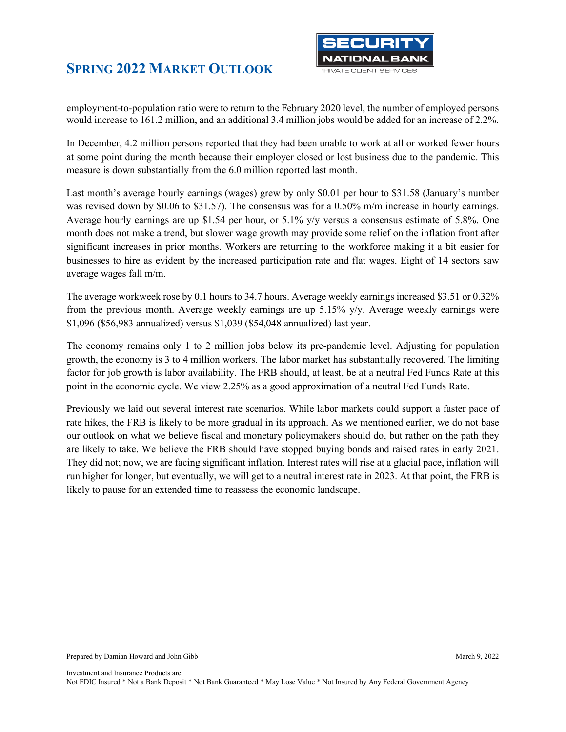

employment-to-population ratio were to return to the February 2020 level, the number of employed persons would increase to 161.2 million, and an additional 3.4 million jobs would be added for an increase of 2.2%.

In December, 4.2 million persons reported that they had been unable to work at all or worked fewer hours at some point during the month because their employer closed or lost business due to the pandemic. This measure is down substantially from the 6.0 million reported last month.

Last month's average hourly earnings (wages) grew by only \$0.01 per hour to \$31.58 (January's number was revised down by \$0.06 to \$31.57). The consensus was for a 0.50% m/m increase in hourly earnings. Average hourly earnings are up \$1.54 per hour, or  $5.1\%$  y/y versus a consensus estimate of 5.8%. One month does not make a trend, but slower wage growth may provide some relief on the inflation front after significant increases in prior months. Workers are returning to the workforce making it a bit easier for businesses to hire as evident by the increased participation rate and flat wages. Eight of 14 sectors saw average wages fall m/m.

The average workweek rose by 0.1 hours to 34.7 hours. Average weekly earnings increased \$3.51 or 0.32% from the previous month. Average weekly earnings are up 5.15% y/y. Average weekly earnings were \$1,096 (\$56,983 annualized) versus \$1,039 (\$54,048 annualized) last year.

The economy remains only 1 to 2 million jobs below its pre-pandemic level. Adjusting for population growth, the economy is 3 to 4 million workers. The labor market has substantially recovered. The limiting factor for job growth is labor availability. The FRB should, at least, be at a neutral Fed Funds Rate at this point in the economic cycle. We view 2.25% as a good approximation of a neutral Fed Funds Rate.

Previously we laid out several interest rate scenarios. While labor markets could support a faster pace of rate hikes, the FRB is likely to be more gradual in its approach. As we mentioned earlier, we do not base our outlook on what we believe fiscal and monetary policymakers should do, but rather on the path they are likely to take. We believe the FRB should have stopped buying bonds and raised rates in early 2021. They did not; now, we are facing significant inflation. Interest rates will rise at a glacial pace, inflation will run higher for longer, but eventually, we will get to a neutral interest rate in 2023. At that point, the FRB is likely to pause for an extended time to reassess the economic landscape.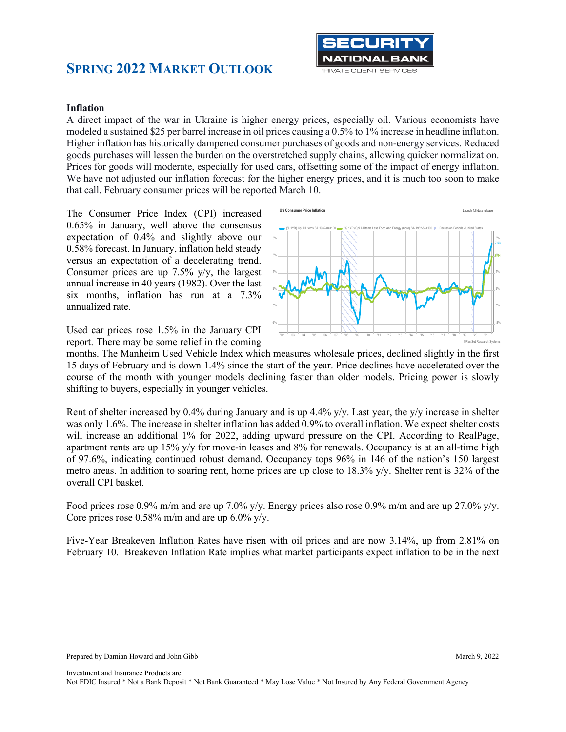

#### **Inflation**

A direct impact of the war in Ukraine is higher energy prices, especially oil. Various economists have modeled a sustained \$25 per barrel increase in oil prices causing a 0.5% to 1% increase in headline inflation. Higher inflation has historically dampened consumer purchases of goods and non-energy services. Reduced goods purchases will lessen the burden on the overstretched supply chains, allowing quicker normalization. Prices for goods will moderate, especially for used cars, offsetting some of the impact of energy inflation. We have not adjusted our inflation forecast for the higher energy prices, and it is much too soon to make that call. February consumer prices will be reported March 10.

The Consumer Price Index (CPI) increased 0.65% in January, well above the consensus expectation of 0.4% and slightly above our 0.58% forecast. In January, inflation held steady versus an expectation of a decelerating trend. Consumer prices are up 7.5% y/y, the largest annual increase in 40 years (1982). Over the last six months, inflation has run at a 7.3% annualized rate.

Used car prices rose 1.5% in the January CPI report. There may be some relief in the coming



months. The Manheim Used Vehicle Index which measures wholesale prices, declined slightly in the first 15 days of February and is down 1.4% since the start of the year. Price declines have accelerated over the course of the month with younger models declining faster than older models. Pricing power is slowly shifting to buyers, especially in younger vehicles.

Rent of shelter increased by 0.4% during January and is up 4.4% y/y. Last year, the y/y increase in shelter was only 1.6%. The increase in shelter inflation has added 0.9% to overall inflation. We expect shelter costs will increase an additional 1% for 2022, adding upward pressure on the CPI. According to RealPage, apartment rents are up 15% y/y for move-in leases and 8% for renewals. Occupancy is at an all-time high of 97.6%, indicating continued robust demand. Occupancy tops 96% in 146 of the nation's 150 largest metro areas. In addition to soaring rent, home prices are up close to 18.3% y/y. Shelter rent is 32% of the overall CPI basket.

Food prices rose 0.9% m/m and are up 7.0% y/y. Energy prices also rose 0.9% m/m and are up 27.0% y/y. Core prices rose  $0.58\%$  m/m and are up  $6.0\%$  y/y.

Five-Year Breakeven Inflation Rates have risen with oil prices and are now 3.14%, up from 2.81% on February 10. Breakeven Inflation Rate implies what market participants expect inflation to be in the next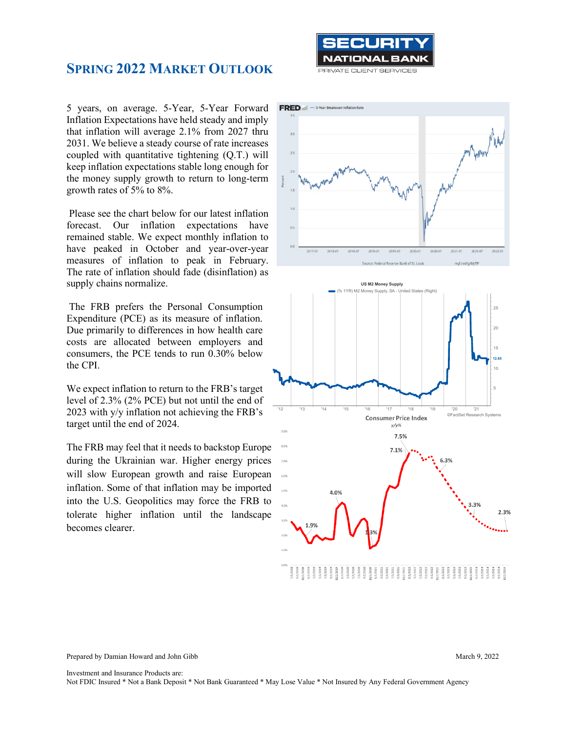

5 years, on average. 5-Year, 5-Year Forward Inflation Expectations have held steady and imply that inflation will average 2.1% from 2027 thru 2031. We believe a steady course of rate increases coupled with quantitative tightening (Q.T.) will keep inflation expectations stable long enough for the money supply growth to return to long-term growth rates of 5% to 8%.

Please see the chart below for our latest inflation forecast. Our inflation expectations have remained stable. We expect monthly inflation to have peaked in October and year-over-year measures of inflation to peak in February. The rate of inflation should fade (disinflation) as supply chains normalize.

The FRB prefers the Personal Consumption Expenditure (PCE) as its measure of inflation. Due primarily to differences in how health care costs are allocated between employers and consumers, the PCE tends to run 0.30% below the CPI.

We expect inflation to return to the FRB's target level of 2.3% (2% PCE) but not until the end of 2023 with y/y inflation not achieving the FRB's target until the end of 2024.

The FRB may feel that it needs to backstop Europe during the Ukrainian war. Higher energy prices will slow European growth and raise European inflation. Some of that inflation may be imported into the U.S. Geopolitics may force the FRB to tolerate higher inflation until the landscape becomes clearer.





Prepared by Damian Howard and John Gibb March 9, 2022

Investment and Insurance Products are: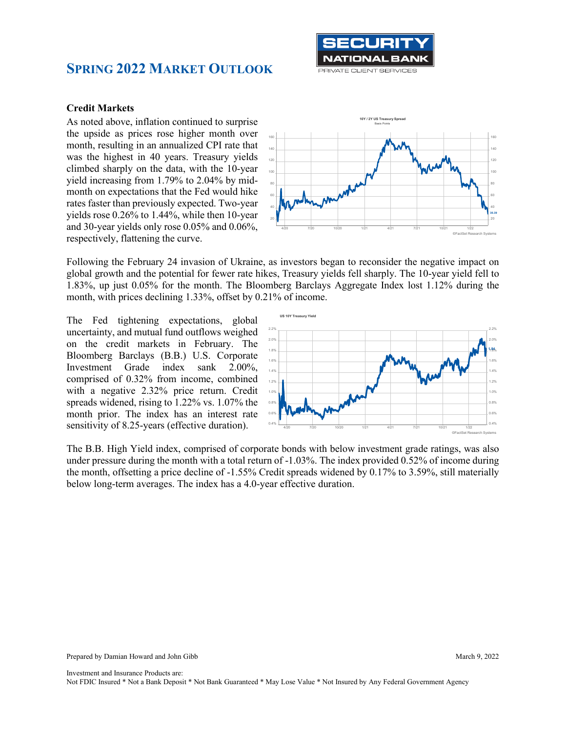

#### **Credit Markets**

As noted above, inflation continued to surprise the upside as prices rose higher month over month, resulting in an annualized CPI rate that was the highest in 40 years. Treasury yields climbed sharply on the data, with the 10-year yield increasing from 1.79% to 2.04% by midmonth on expectations that the Fed would hike rates faster than previously expected. Two-year yields rose 0.26% to 1.44%, while then 10-year and 30-year yields only rose 0.05% and 0.06%, respectively, flattening the curve.



Following the February 24 invasion of Ukraine, as investors began to reconsider the negative impact on global growth and the potential for fewer rate hikes, Treasury yields fell sharply. The 10-year yield fell to 1.83%, up just 0.05% for the month. The Bloomberg Barclays Aggregate Index lost 1.12% during the month, with prices declining 1.33%, offset by 0.21% of income.

The Fed tightening expectations, global uncertainty, and mutual fund outflows weighed on the credit markets in February. The Bloomberg Barclays (B.B.) U.S. Corporate Investment Grade index sank 2.00%, comprised of 0.32% from income, combined with a negative 2.32% price return. Credit spreads widened, rising to 1.22% vs. 1.07% the month prior. The index has an interest rate sensitivity of 8.25-years (effective duration).



The B.B. High Yield index, comprised of corporate bonds with below investment grade ratings, was also under pressure during the month with a total return of -1.03%. The index provided 0.52% of income during the month, offsetting a price decline of -1.55% Credit spreads widened by 0.17% to 3.59%, still materially below long-term averages. The index has a 4.0-year effective duration.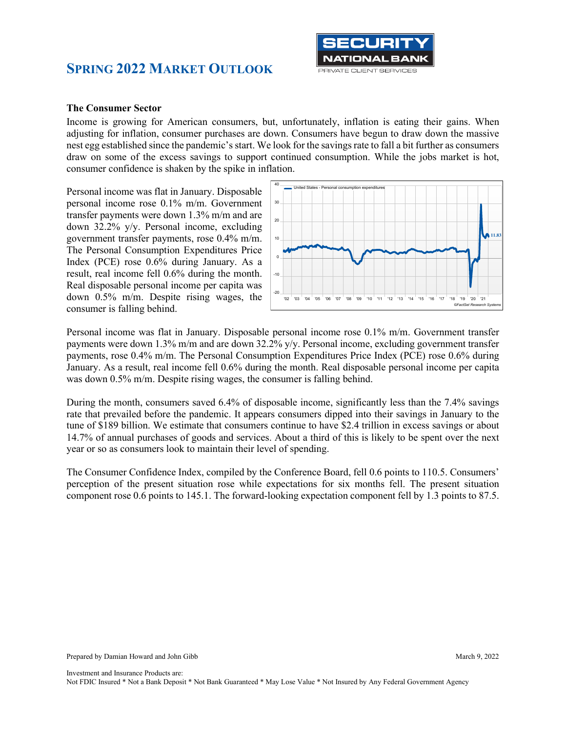

#### **The Consumer Sector**

Income is growing for American consumers, but, unfortunately, inflation is eating their gains. When adjusting for inflation, consumer purchases are down. Consumers have begun to draw down the massive nest egg established since the pandemic's start. We look for the savings rate to fall a bit further as consumers draw on some of the excess savings to support continued consumption. While the jobs market is hot, consumer confidence is shaken by the spike in inflation.

Personal income was flat in January. Disposable personal income rose 0.1% m/m. Government transfer payments were down 1.3% m/m and are down 32.2% y/y. Personal income, excluding government transfer payments, rose 0.4% m/m. The Personal Consumption Expenditures Price Index (PCE) rose 0.6% during January. As a result, real income fell 0.6% during the month. Real disposable personal income per capita was down 0.5% m/m. Despite rising wages, the consumer is falling behind.



Personal income was flat in January. Disposable personal income rose 0.1% m/m. Government transfer payments were down 1.3% m/m and are down 32.2% y/y. Personal income, excluding government transfer payments, rose 0.4% m/m. The Personal Consumption Expenditures Price Index (PCE) rose 0.6% during January. As a result, real income fell 0.6% during the month. Real disposable personal income per capita was down 0.5% m/m. Despite rising wages, the consumer is falling behind.

During the month, consumers saved 6.4% of disposable income, significantly less than the 7.4% savings rate that prevailed before the pandemic. It appears consumers dipped into their savings in January to the tune of \$189 billion. We estimate that consumers continue to have \$2.4 trillion in excess savings or about 14.7% of annual purchases of goods and services. About a third of this is likely to be spent over the next year or so as consumers look to maintain their level of spending.

The Consumer Confidence Index, compiled by the Conference Board, fell 0.6 points to 110.5. Consumers' perception of the present situation rose while expectations for six months fell. The present situation component rose 0.6 points to 145.1. The forward-looking expectation component fell by 1.3 points to 87.5.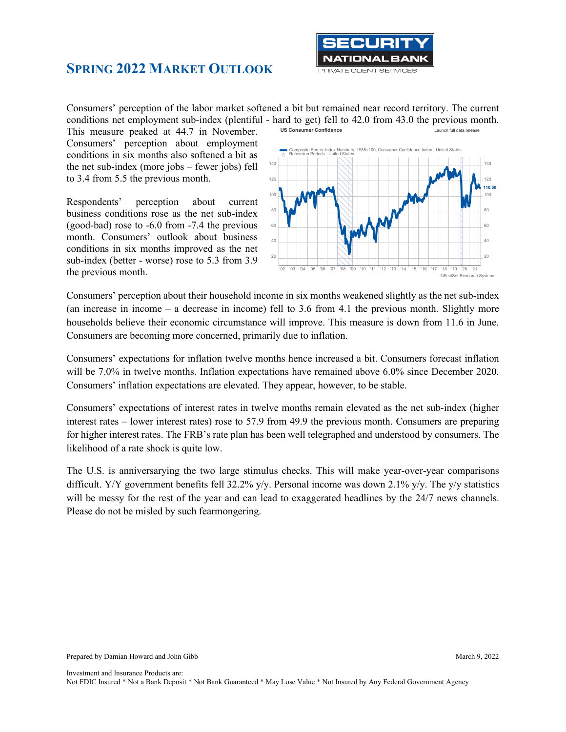

Consumers' perception of the labor market softened a bit but remained near record territory. The current conditions net employment sub-index (plentiful - hard to get) fell to 42.0 from 43.0 the previous month. **US Consumer Confidence** 

This measure peaked at 44.7 in November. Consumers' perception about employment conditions in six months also softened a bit as the net sub-index (more jobs – fewer jobs) fell to 3.4 from 5.5 the previous month.

Respondents' perception about current business conditions rose as the net sub-index (good-bad) rose to -6.0 from -7.4 the previous month. Consumers' outlook about business conditions in six months improved as the net sub-index (better - worse) rose to 5.3 from 3.9 the previous month.

'02 '03 '04 '05 '06 '07 '08 '09 '10 '11 '12 '13 '14 '15 '16 '17 '18 '19 '20 '21 20 20 40  $\sim$  40  $\sim$  40  $\sim$  40  $\sim$  40  $\sim$  40  $\sim$  40  $\sim$  40  $\sim$  40  $\sim$  40  $\sim$  40  $\sim$ 60 **Julie 19 Andrea Andrea Andrea Andrea Andrea Andrea Andrea Andrea Andrea Andrea Andrea Andrea Andrea Andrea** 80 **AV** - 1 AV AV - 1 AV - 1 AV - 1 AV - 1 AV - 1 80 100 100 120 120 140 140 **110.50** ©FactSet Research Systems Index Numbers, Recession Periods - United States

Consumers' perception about their household income in six months weakened slightly as the net sub-index (an increase in income – a decrease in income) fell to 3.6 from 4.1 the previous month. Slightly more households believe their economic circumstance will improve. This measure is down from 11.6 in June. Consumers are becoming more concerned, primarily due to inflation.

Consumers' expectations for inflation twelve months hence increased a bit. Consumers forecast inflation will be 7.0% in twelve months. Inflation expectations have remained above 6.0% since December 2020. Consumers' inflation expectations are elevated. They appear, however, to be stable.

Consumers' expectations of interest rates in twelve months remain elevated as the net sub-index (higher interest rates – lower interest rates) rose to 57.9 from 49.9 the previous month. Consumers are preparing for higher interest rates. The FRB's rate plan has been well telegraphed and understood by consumers. The likelihood of a rate shock is quite low.

The U.S. is anniversarying the two large stimulus checks. This will make year-over-year comparisons difficult. Y/Y government benefits fell 32.2% y/y. Personal income was down 2.1% y/y. The y/y statistics will be messy for the rest of the year and can lead to exaggerated headlines by the 24/7 news channels. Please do not be misled by such fearmongering.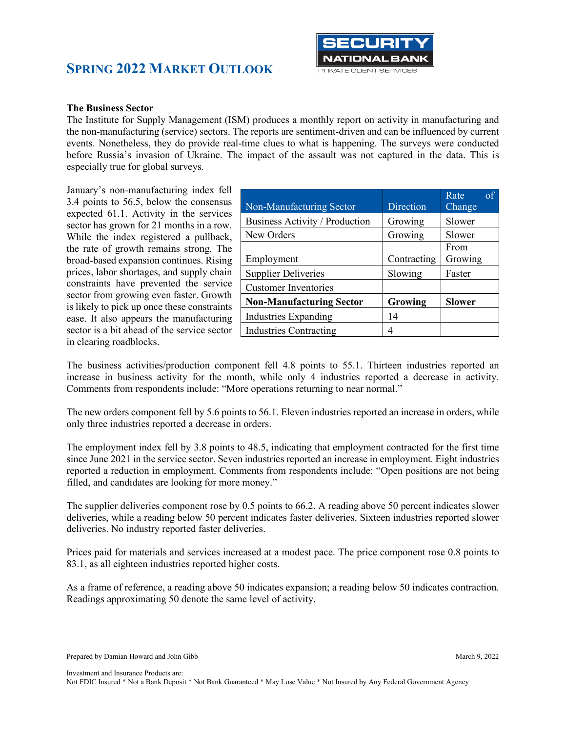



#### **The Business Sector**

The Institute for Supply Management (ISM) produces a monthly report on activity in manufacturing and the non-manufacturing (service) sectors. The reports are sentiment-driven and can be influenced by current events. Nonetheless, they do provide real-time clues to what is happening. The surveys were conducted before Russia's invasion of Ukraine. The impact of the assault was not captured in the data. This is especially true for global surveys.

January's non-manufacturing index fell 3.4 points to 56.5, below the consensus expected 61.1. Activity in the services sector has grown for 21 months in a row. While the index registered a pullback, the rate of growth remains strong. The broad-based expansion continues. Rising prices, labor shortages, and supply chain constraints have prevented the service sector from growing even faster. Growth is likely to pick up once these constraints ease. It also appears the manufacturing sector is a bit ahead of the service sector in clearing roadblocks.

| Non-Manufacturing Sector        | Direction   | of<br>Rate<br>Change |
|---------------------------------|-------------|----------------------|
| Business Activity / Production  | Growing     | Slower               |
| New Orders                      | Growing     | Slower               |
| Employment                      | Contracting | From<br>Growing      |
| <b>Supplier Deliveries</b>      | Slowing     | Faster               |
| <b>Customer Inventories</b>     |             |                      |
| <b>Non-Manufacturing Sector</b> | Growing     | <b>Slower</b>        |
| <b>Industries Expanding</b>     | 14          |                      |
| <b>Industries Contracting</b>   | 4           |                      |

The business activities/production component fell 4.8 points to 55.1. Thirteen industries reported an increase in business activity for the month, while only 4 industries reported a decrease in activity. Comments from respondents include: "More operations returning to near normal."

The new orders component fell by 5.6 points to 56.1. Eleven industries reported an increase in orders, while only three industries reported a decrease in orders.

The employment index fell by 3.8 points to 48.5, indicating that employment contracted for the first time since June 2021 in the service sector. Seven industries reported an increase in employment. Eight industries reported a reduction in employment. Comments from respondents include: "Open positions are not being filled, and candidates are looking for more money."

The supplier deliveries component rose by 0.5 points to 66.2. A reading above 50 percent indicates slower deliveries, while a reading below 50 percent indicates faster deliveries. Sixteen industries reported slower deliveries. No industry reported faster deliveries.

Prices paid for materials and services increased at a modest pace. The price component rose 0.8 points to 83.1, as all eighteen industries reported higher costs.

As a frame of reference, a reading above 50 indicates expansion; a reading below 50 indicates contraction. Readings approximating 50 denote the same level of activity.

Prepared by Damian Howard and John Gibb March 9, 2022

Investment and Insurance Products are: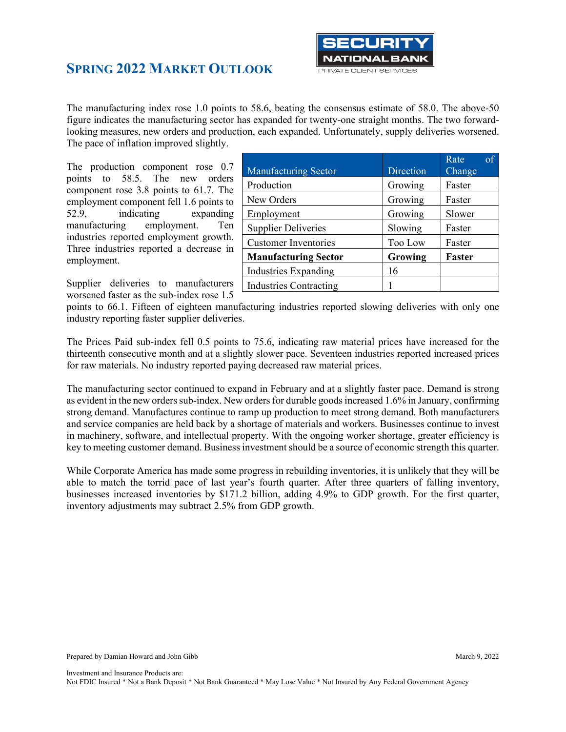

The manufacturing index rose 1.0 points to 58.6, beating the consensus estimate of 58.0. The above-50 figure indicates the manufacturing sector has expanded for twenty-one straight months. The two forwardlooking measures, new orders and production, each expanded. Unfortunately, supply deliveries worsened. The pace of inflation improved slightly.

The production component rose 0.7 points to 58.5. The new orders component rose 3.8 points to 61.7. The employment component fell 1.6 points to 52.9, indicating expanding manufacturing employment. Ten industries reported employment growth. Three industries reported a decrease in employment.

Supplier deliveries to manufacturers worsened faster as the sub-index rose 1.5

| <b>Manufacturing Sector</b>   | Direction | of<br>Rate<br>Change |
|-------------------------------|-----------|----------------------|
| Production                    | Growing   | Faster               |
| New Orders                    | Growing   | Faster               |
| Employment                    | Growing   | Slower               |
| <b>Supplier Deliveries</b>    | Slowing   | Faster               |
| <b>Customer Inventories</b>   | Too Low   | Faster               |
| <b>Manufacturing Sector</b>   | Growing   | <b>Faster</b>        |
| <b>Industries Expanding</b>   | 16        |                      |
| <b>Industries Contracting</b> |           |                      |

points to 66.1. Fifteen of eighteen manufacturing industries reported slowing deliveries with only one industry reporting faster supplier deliveries.

The Prices Paid sub-index fell 0.5 points to 75.6, indicating raw material prices have increased for the thirteenth consecutive month and at a slightly slower pace. Seventeen industries reported increased prices for raw materials. No industry reported paying decreased raw material prices.

The manufacturing sector continued to expand in February and at a slightly faster pace. Demand is strong as evident in the new orders sub-index. New orders for durable goods increased 1.6% in January, confirming strong demand. Manufactures continue to ramp up production to meet strong demand. Both manufacturers and service companies are held back by a shortage of materials and workers. Businesses continue to invest in machinery, software, and intellectual property. With the ongoing worker shortage, greater efficiency is key to meeting customer demand. Business investment should be a source of economic strength this quarter.

While Corporate America has made some progress in rebuilding inventories, it is unlikely that they will be able to match the torrid pace of last year's fourth quarter. After three quarters of falling inventory, businesses increased inventories by \$171.2 billion, adding 4.9% to GDP growth. For the first quarter, inventory adjustments may subtract 2.5% from GDP growth.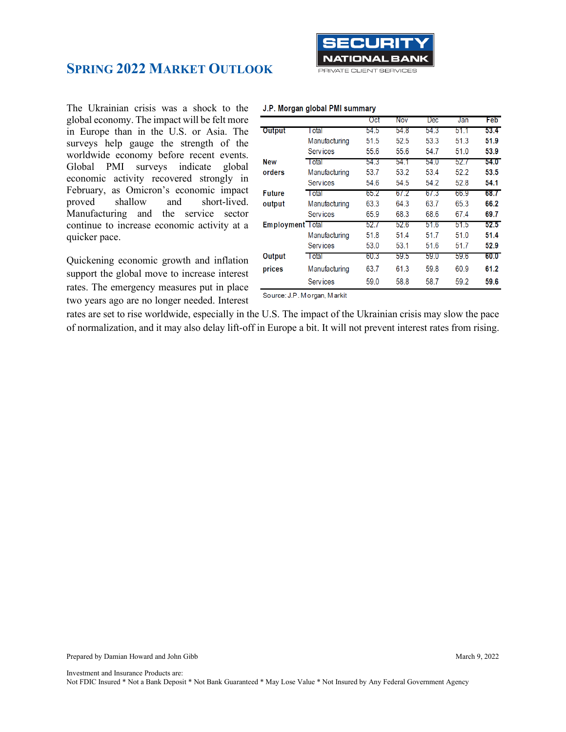

#### J.P. Morgan global PMI summary

The Ukrainian crisis was a shock to the global economy. The impact will be felt more in Europe than in the U.S. or Asia. The surveys help gauge the strength of the worldwide economy before recent events. Global PMI surveys indicate global economic activity recovered strongly in February, as Omicron's economic impact proved shallow and short-lived. Manufacturing and the service sector continue to increase economic activity at a quicker pace.

Quickening economic growth and inflation support the global move to increase interest rates. The emergency measures put in place two years ago are no longer needed. Interest

|                         |                 | UCL  | <b>INOV</b> | <b>Dec</b> | Jan  | гер  |
|-------------------------|-----------------|------|-------------|------------|------|------|
| Output                  | I otal          | 54.5 | 54.8        | 54.3       | 51.1 | 53.4 |
|                         | Manufacturing   | 51.5 | 52.5        | 53.3       | 51.3 | 51.9 |
|                         | <b>Services</b> | 55.6 | 55.6        | 54.7       | 51.0 | 53.9 |
| <b>New</b>              | I otal          | 54.3 | 54.1        | 54.0       | 52.7 | 54.0 |
| orders                  | Manufacturing   | 53.7 | 53.2        | 53.4       | 52.2 | 53.5 |
|                         | <b>Services</b> | 54.6 | 54.5        | 54.2       | 52.8 | 54.1 |
| <b>Future</b>           | <b>l</b> otal   | 65.2 | 6/2         | 67.3       | 66.9 | 68.7 |
| output                  | Manufacturing   | 63.3 | 64.3        | 63.7       | 65.3 | 66.2 |
|                         | <b>Services</b> | 65.9 | 68.3        | 68.6       | 67.4 | 69.7 |
| <b>Employment</b> Total |                 | 52.7 | 52.6        | 51.6       | 51.5 | 52.5 |
|                         | Manufacturing   | 51.8 | 51.4        | 51.7       | 51.0 | 51.4 |
|                         | <b>Services</b> | 53.0 | 53.1        | 51.6       | 51.7 | 52.9 |
| Output                  | Total           | 60.3 | 59.5        | 59.0       | 59.6 | 60.0 |
| prices                  | Manufacturing   | 63.7 | 61.3        | 59.8       | 60.9 | 61.2 |
|                         | <b>Services</b> | 59.0 | 58.8        | 58.7       | 59.2 | 59.6 |

Source: J.P. Morgan, Markit

rates are set to rise worldwide, especially in the U.S. The impact of the Ukrainian crisis may slow the pace of normalization, and it may also delay lift-off in Europe a bit. It will not prevent interest rates from rising.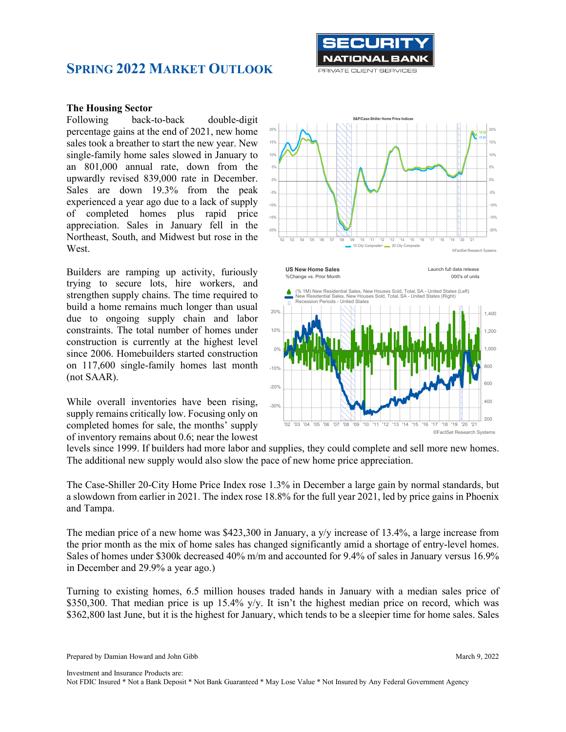

#### **The Housing Sector**

Following back-to-back double-digit percentage gains at the end of 2021, new home sales took a breather to start the new year. New single-family home sales slowed in January to an 801,000 annual rate, down from the upwardly revised 839,000 rate in December. Sales are down 19.3% from the peak experienced a year ago due to a lack of supply of completed homes plus rapid price appreciation. Sales in January fell in the Northeast, South, and Midwest but rose in the West.

Builders are ramping up activity, furiously trying to secure lots, hire workers, and strengthen supply chains. The time required to build a home remains much longer than usual due to ongoing supply chain and labor constraints. The total number of homes under construction is currently at the highest level since 2006. Homebuilders started construction on 117,600 single-family homes last month (not SAAR).

While overall inventories have been rising, supply remains critically low. Focusing only on completed homes for sale, the months' supply of inventory remains about 0.6; near the lowest



'02 '03 '04 '05 '06 '07 '08 '09 '10 '11 '12 '13 '14 '15 '16 '17 '18 '19 '20 '21

levels since 1999. If builders had more labor and supplies, they could complete and sell more new homes. The additional new supply would also slow the pace of new home price appreciation.

The Case-Shiller 20-City Home Price Index rose 1.3% in December a large gain by normal standards, but a slowdown from earlier in 2021. The index rose 18.8% for the full year 2021, led by price gains in Phoenix and Tampa.

The median price of a new home was \$423,300 in January, a y/y increase of 13.4%, a large increase from the prior month as the mix of home sales has changed significantly amid a shortage of entry-level homes. Sales of homes under \$300k decreased 40% m/m and accounted for 9.4% of sales in January versus 16.9% in December and 29.9% a year ago.)

Turning to existing homes, 6.5 million houses traded hands in January with a median sales price of \$350,300. That median price is up 15.4% y/y. It isn't the highest median price on record, which was \$362,800 last June, but it is the highest for January, which tends to be a sleepier time for home sales. Sales

Prepared by Damian Howard and John Gibb March 9, 2022

©FactSet Research Systems